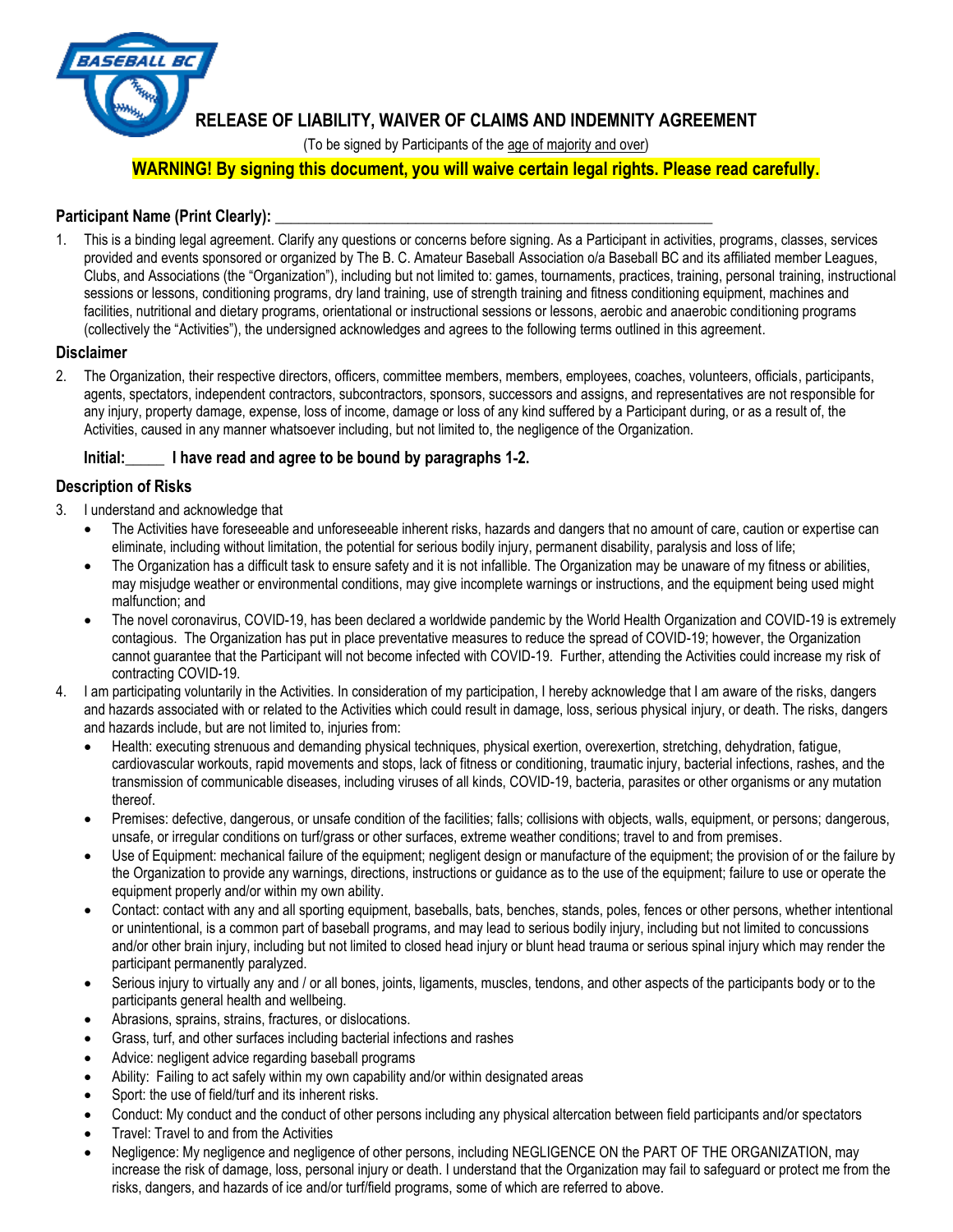

# **RELEASE OF LIABILITY, WAIVER OF CLAIMS AND INDEMNITY AGREEMENT**

(To be signed by Participants of the age of majority and over)

# **WARNING! By signing this document, you will waive certain legal rights. Please read carefully.**

### Participant Name (Print Clearly):

1. This is a binding legal agreement. Clarify any questions or concerns before signing. As a Participant in activities, programs, classes, services provided and events sponsored or organized by The B. C. Amateur Baseball Association o/a Baseball BC and its affiliated member Leagues, Clubs, and Associations (the "Organization"), including but not limited to: games, tournaments, practices, training, personal training, instructional sessions or lessons, conditioning programs, dry land training, use of strength training and fitness conditioning equipment, machines and facilities, nutritional and dietary programs, orientational or instructional sessions or lessons, aerobic and anaerobic conditioning programs (collectively the "Activities"), the undersigned acknowledges and agrees to the following terms outlined in this agreement.

#### **Disclaimer**

2. The Organization, their respective directors, officers, committee members, members, employees, coaches, volunteers, officials, participants, agents, spectators, independent contractors, subcontractors, sponsors, successors and assigns, and representatives are not responsible for any injury, property damage, expense, loss of income, damage or loss of any kind suffered by a Participant during, or as a result of, the Activities, caused in any manner whatsoever including, but not limited to, the negligence of the Organization.

#### **Initial:\_\_\_\_\_ I have read and agree to be bound by paragraphs 1**-**2.**

#### **Description of Risks**

- 3. I understand and acknowledge that
	- The Activities have foreseeable and unforeseeable inherent risks, hazards and dangers that no amount of care, caution or expertise can eliminate, including without limitation, the potential for serious bodily injury, permanent disability, paralysis and loss of life;
	- The Organization has a difficult task to ensure safety and it is not infallible. The Organization may be unaware of my fitness or abilities, may misjudge weather or environmental conditions, may give incomplete warnings or instructions, and the equipment being used might malfunction; and
	- The novel coronavirus, COVID-19, has been declared a worldwide pandemic by the World Health Organization and COVID-19 is extremely contagious. The Organization has put in place preventative measures to reduce the spread of COVID-19; however, the Organization cannot guarantee that the Participant will not become infected with COVID-19. Further, attending the Activities could increase my risk of contracting COVID-19.
- 4. I am participating voluntarily in the Activities. In consideration of my participation, I hereby acknowledge that I am aware of the risks, dangers and hazards associated with or related to the Activities which could result in damage, loss, serious physical injury, or death. The risks, dangers and hazards include, but are not limited to, injuries from:
	- Health: executing strenuous and demanding physical techniques, physical exertion, overexertion, stretching, dehydration, fatigue, cardiovascular workouts, rapid movements and stops, lack of fitness or conditioning, traumatic injury, bacterial infections, rashes, and the transmission of communicable diseases, including viruses of all kinds, COVID-19, bacteria, parasites or other organisms or any mutation thereof.
	- Premises: defective, dangerous, or unsafe condition of the facilities; falls; collisions with objects, walls, equipment, or persons; dangerous, unsafe, or irregular conditions on turf/grass or other surfaces, extreme weather conditions; travel to and from premises.
	- Use of Equipment: mechanical failure of the equipment; negligent design or manufacture of the equipment; the provision of or the failure by the Organization to provide any warnings, directions, instructions or guidance as to the use of the equipment; failure to use or operate the equipment properly and/or within my own ability.
	- Contact: contact with any and all sporting equipment, baseballs, bats, benches, stands, poles, fences or other persons, whether intentional or unintentional, is a common part of baseball programs, and may lead to serious bodily injury, including but not limited to concussions and/or other brain injury, including but not limited to closed head injury or blunt head trauma or serious spinal injury which may render the participant permanently paralyzed.
	- Serious injury to virtually any and / or all bones, joints, ligaments, muscles, tendons, and other aspects of the participants body or to the participants general health and wellbeing.
	- Abrasions, sprains, strains, fractures, or dislocations.
	- Grass, turf, and other surfaces including bacterial infections and rashes
	- Advice: negligent advice regarding baseball programs
	- Ability: Failing to act safely within my own capability and/or within designated areas
	- Sport: the use of field/turf and its inherent risks.
	- Conduct: My conduct and the conduct of other persons including any physical altercation between field participants and/or spectators
	- Travel: Travel to and from the Activities
	- Negligence: My negligence and negligence of other persons, including NEGLIGENCE ON the PART OF THE ORGANIZATION, may increase the risk of damage, loss, personal injury or death. I understand that the Organization may fail to safeguard or protect me from the risks, dangers, and hazards of ice and/or turf/field programs, some of which are referred to above.